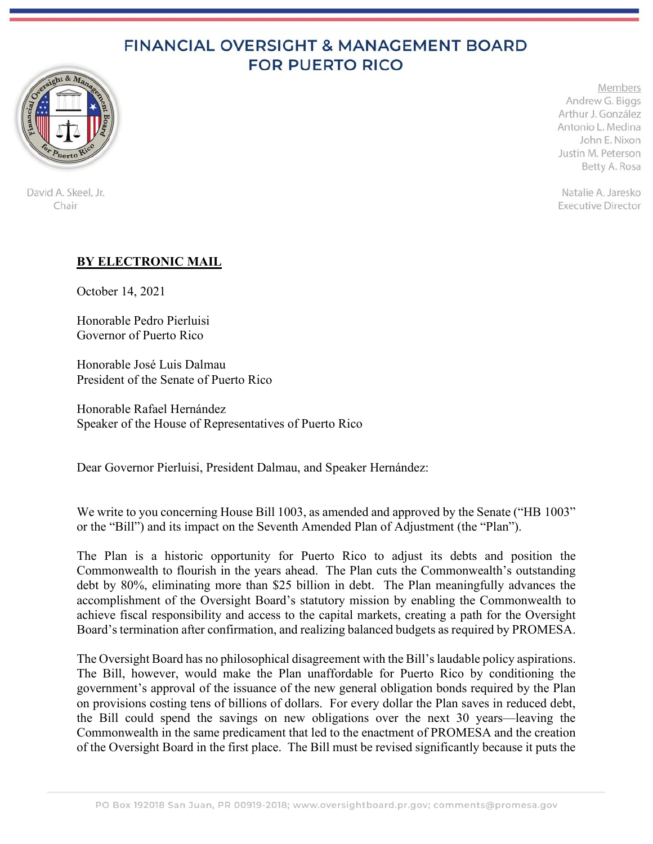## FINANCIAL OVERSIGHT & MANAGEMENT BOARD **FOR PUERTO RICO**



Members Andrew G. Biggs Arthur J. González Antonio L. Medina John E. Nixon Justin M. Peterson Betty A. Rosa

Natalie A. Jaresko **Executive Director** 

## David A. Skeel, Jr. Chair

## **BY ELECTRONIC MAIL**

October 14, 2021

Honorable Pedro Pierluisi Governor of Puerto Rico

Honorable José Luis Dalmau President of the Senate of Puerto Rico

Honorable Rafael Hernández Speaker of the House of Representatives of Puerto Rico

Dear Governor Pierluisi, President Dalmau, and Speaker Hernández:

We write to you concerning House Bill 1003, as amended and approved by the Senate ("HB 1003" or the "Bill") and its impact on the Seventh Amended Plan of Adjustment (the "Plan").

The Plan is a historic opportunity for Puerto Rico to adjust its debts and position the Commonwealth to flourish in the years ahead. The Plan cuts the Commonwealth's outstanding debt by 80%, eliminating more than \$25 billion in debt. The Plan meaningfully advances the accomplishment of the Oversight Board's statutory mission by enabling the Commonwealth to achieve fiscal responsibility and access to the capital markets, creating a path for the Oversight Board's termination after confirmation, and realizing balanced budgets as required by PROMESA.

The Oversight Board has no philosophical disagreement with the Bill's laudable policy aspirations. The Bill, however, would make the Plan unaffordable for Puerto Rico by conditioning the government's approval of the issuance of the new general obligation bonds required by the Plan on provisions costing tens of billions of dollars. For every dollar the Plan saves in reduced debt, the Bill could spend the savings on new obligations over the next 30 years—leaving the Commonwealth in the same predicament that led to the enactment of PROMESA and the creation of the Oversight Board in the first place. The Bill must be revised significantly because it puts the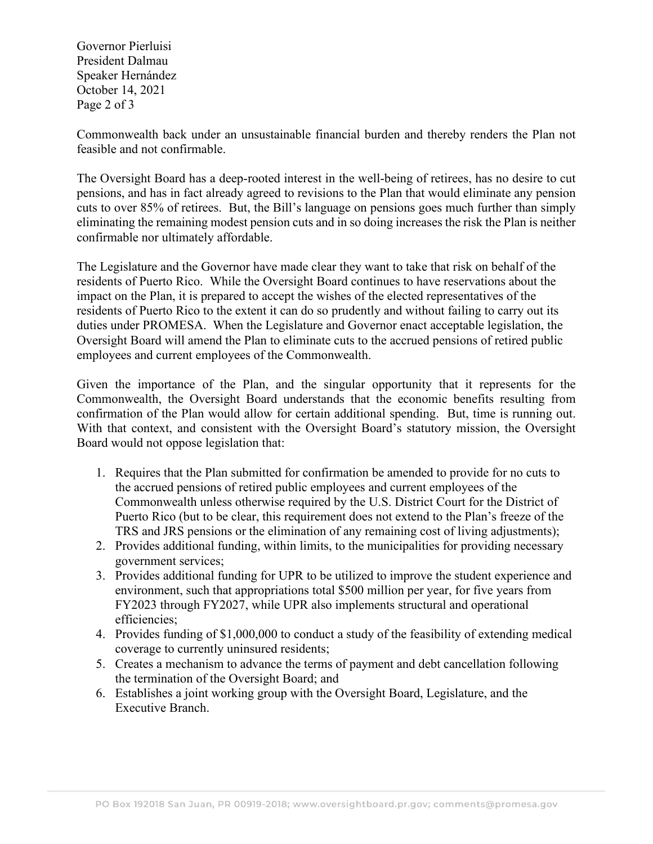Governor Pierluisi President Dalmau Speaker Hernández October 14, 2021 Page 2 of 3

Commonwealth back under an unsustainable financial burden and thereby renders the Plan not feasible and not confirmable.

The Oversight Board has a deep-rooted interest in the well-being of retirees, has no desire to cut pensions, and has in fact already agreed to revisions to the Plan that would eliminate any pension cuts to over 85% of retirees. But, the Bill's language on pensions goes much further than simply eliminating the remaining modest pension cuts and in so doing increases the risk the Plan is neither confirmable nor ultimately affordable.

The Legislature and the Governor have made clear they want to take that risk on behalf of the residents of Puerto Rico. While the Oversight Board continues to have reservations about the impact on the Plan, it is prepared to accept the wishes of the elected representatives of the residents of Puerto Rico to the extent it can do so prudently and without failing to carry out its duties under PROMESA. When the Legislature and Governor enact acceptable legislation, the Oversight Board will amend the Plan to eliminate cuts to the accrued pensions of retired public employees and current employees of the Commonwealth.

Given the importance of the Plan, and the singular opportunity that it represents for the Commonwealth, the Oversight Board understands that the economic benefits resulting from confirmation of the Plan would allow for certain additional spending. But, time is running out. With that context, and consistent with the Oversight Board's statutory mission, the Oversight Board would not oppose legislation that:

- 1. Requires that the Plan submitted for confirmation be amended to provide for no cuts to the accrued pensions of retired public employees and current employees of the Commonwealth unless otherwise required by the U.S. District Court for the District of Puerto Rico (but to be clear, this requirement does not extend to the Plan's freeze of the TRS and JRS pensions or the elimination of any remaining cost of living adjustments);
- 2. Provides additional funding, within limits, to the municipalities for providing necessary government services;
- 3. Provides additional funding for UPR to be utilized to improve the student experience and environment, such that appropriations total \$500 million per year, for five years from FY2023 through FY2027, while UPR also implements structural and operational efficiencies;
- 4. Provides funding of \$1,000,000 to conduct a study of the feasibility of extending medical coverage to currently uninsured residents;
- 5. Creates a mechanism to advance the terms of payment and debt cancellation following the termination of the Oversight Board; and
- 6. Establishes a joint working group with the Oversight Board, Legislature, and the Executive Branch.